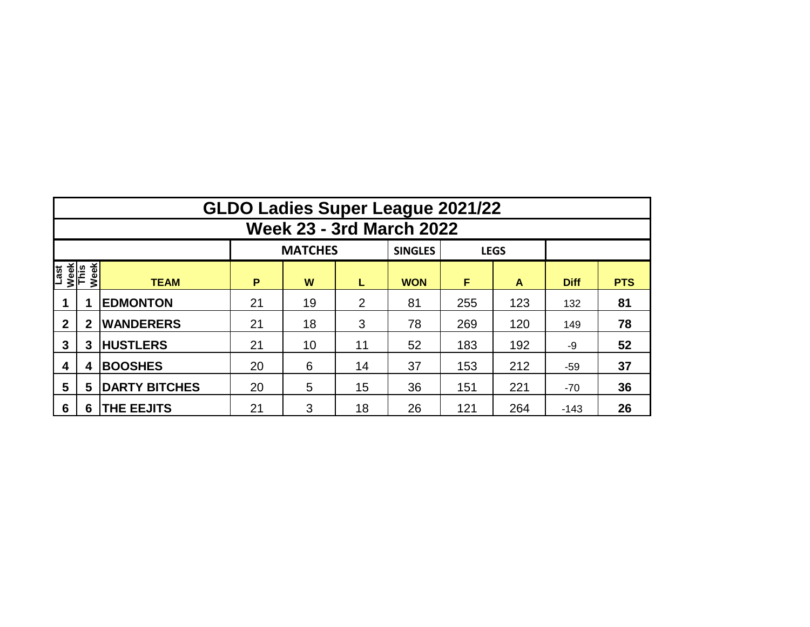|                                     | <b>GLDO Ladies Super League 2021/22</b> |                      |          |                |    |                |     |             |             |            |  |  |  |  |  |
|-------------------------------------|-----------------------------------------|----------------------|----------|----------------|----|----------------|-----|-------------|-------------|------------|--|--|--|--|--|
|                                     | <b>Week 23 - 3rd March 2022</b>         |                      |          |                |    |                |     |             |             |            |  |  |  |  |  |
|                                     |                                         |                      |          | <b>MATCHES</b> |    | <b>SINGLES</b> |     | <b>LEGS</b> |             |            |  |  |  |  |  |
| Week<br>This<br>Week<br><b>Last</b> |                                         | <b>TEAM</b>          | P        | W              | L  | <b>WON</b>     | F   | A           | <b>Diff</b> | <b>PTS</b> |  |  |  |  |  |
|                                     |                                         | <b>EDMONTON</b>      | 21       | 19             | 2  | 81             | 255 | 123         | 132         | 81         |  |  |  |  |  |
| $\mathbf{2}$                        | $\mathbf{2}$                            | <b>WANDERERS</b>     | 21<br>18 |                | 3  | 78             | 269 | 120         | 149         | 78         |  |  |  |  |  |
| 3                                   | 3                                       | <b>HUSTLERS</b>      | 21       | 10             | 11 | 52             | 183 | 192         | -9          | 52         |  |  |  |  |  |
| 4                                   | 4                                       | <b>BOOSHES</b>       | 20       | 6              | 14 | 37             | 153 | 212         | $-59$       | 37         |  |  |  |  |  |
| 5                                   | 5                                       | <b>DARTY BITCHES</b> | 20       | 5              | 15 | 36             | 151 | 221         | $-70$       | 36         |  |  |  |  |  |
| 6                                   | 6                                       | <b>THE EEJITS</b>    | 21       | 3              | 18 | 26             | 121 | 264         | $-143$      | 26         |  |  |  |  |  |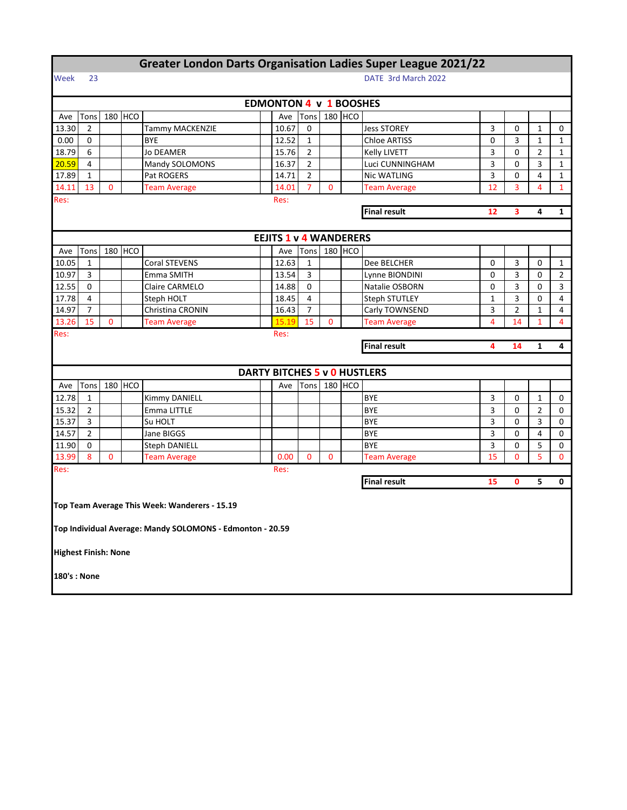| <b>Greater London Darts Organisation Ladies Super League 2021/22</b> |                                                     |              |         |                                                           |                     |                                     |                |   |         |                     |    |                |                |                |
|----------------------------------------------------------------------|-----------------------------------------------------|--------------|---------|-----------------------------------------------------------|---------------------|-------------------------------------|----------------|---|---------|---------------------|----|----------------|----------------|----------------|
| Week                                                                 | 23                                                  |              |         |                                                           | DATE 3rd March 2022 |                                     |                |   |         |                     |    |                |                |                |
|                                                                      |                                                     |              |         |                                                           |                     | <b>EDMONTON 4 v 1 BOOSHES</b>       |                |   |         |                     |    |                |                |                |
| Ave                                                                  | Tons                                                |              | 180 HCO |                                                           |                     | Ave                                 | Tons           |   | 180 HCO |                     |    |                |                |                |
| 13.30                                                                | 2                                                   |              |         | Tammy MACKENZIE                                           |                     | 10.67                               | 0              |   |         | <b>Jess STOREY</b>  | 3  | 0              | 1              | 0              |
| 0.00                                                                 | 0                                                   |              |         | <b>BYE</b>                                                |                     | 12.52                               | $\mathbf{1}$   |   |         | <b>Chloe ARTISS</b> | 0  | 3              | $\mathbf{1}$   | $\mathbf{1}$   |
| 18.79                                                                | 6                                                   |              |         | Jo DEAMER                                                 |                     | 15.76                               | 2              |   |         | Kelly LIVETT        | 3  | 0              | 2              | $\mathbf{1}$   |
| 20.59                                                                | 4                                                   |              |         | Mandy SOLOMONS                                            |                     | 16.37                               | $\overline{2}$ |   |         | Luci CUNNINGHAM     | 3  | 0              | 3              | 1              |
| 17.89                                                                | $\mathbf{1}$                                        |              |         | Pat ROGERS                                                |                     | 14.71                               | $\overline{2}$ |   |         | <b>Nic WATLING</b>  | 3  | 0              | 4              | $\mathbf{1}$   |
| 14.11                                                                | 13                                                  | $\Omega$     |         | <b>Team Average</b>                                       |                     | 14.01                               | 7              | 0 |         | <b>Team Average</b> | 12 | 3              | 4              | $\mathbf{1}$   |
| Res:                                                                 | Res:                                                |              |         |                                                           |                     |                                     |                |   |         |                     |    |                |                |                |
| <b>Final result</b><br>12<br>3<br>4                                  |                                                     |              |         |                                                           |                     |                                     |                |   |         |                     |    |                | $\mathbf{1}$   |                |
|                                                                      |                                                     |              |         |                                                           |                     |                                     |                |   |         |                     |    |                |                |                |
|                                                                      |                                                     |              |         |                                                           |                     | <b>EEJITS 1 v 4 WANDERERS</b>       |                |   |         |                     |    |                |                |                |
| Ave                                                                  | Tons                                                |              | 180 HCO |                                                           |                     | Ave                                 | Tons           |   | 180 HCO |                     |    |                |                |                |
| 10.05                                                                | $\mathbf{1}$                                        |              |         | <b>Coral STEVENS</b>                                      |                     | 12.63                               | $\mathbf{1}$   |   |         | Dee BELCHER         | 0  | 3              | 0              | $\mathbf{1}$   |
| 10.97                                                                | 3                                                   |              |         | Emma SMITH                                                |                     | 13.54                               | 3              |   |         | Lynne BIONDINI      | 0  | 3              | 0              | 2              |
| 12.55                                                                | 0                                                   |              |         | Claire CARMELO                                            |                     | 14.88                               | 0              |   |         | Natalie OSBORN      | 0  | 3              | 0              | 3              |
| 17.78                                                                | 4                                                   |              |         | Steph HOLT                                                |                     | 18.45                               | 4              |   |         | Steph STUTLEY       | 1  | 3              | 0              | 4              |
| 14.97                                                                | 7                                                   |              |         | Christina CRONIN                                          |                     | 16.43                               | $\overline{7}$ |   |         | Carly TOWNSEND      | 3  | $\overline{2}$ | 1              | 4              |
| 13.26                                                                | 15                                                  | $\mathbf{0}$ |         | <b>Team Average</b>                                       |                     | 15.19                               | 15             | 0 |         | <b>Team Average</b> | 4  | 14             | $\mathbf{1}$   | $\overline{4}$ |
| Res:                                                                 |                                                     |              |         |                                                           |                     | Res:                                |                |   |         |                     |    |                |                |                |
|                                                                      | <b>Final result</b><br>4<br>4<br>14<br>$\mathbf{1}$ |              |         |                                                           |                     |                                     |                |   |         |                     |    |                |                |                |
|                                                                      |                                                     |              |         |                                                           |                     |                                     |                |   |         |                     |    |                |                |                |
|                                                                      |                                                     |              |         |                                                           |                     | <b>DARTY BITCHES 5 v 0 HUSTLERS</b> |                |   |         |                     |    |                |                |                |
| Ave                                                                  | Tons                                                |              | 180 HCO |                                                           |                     | Ave                                 | Tons           |   | 180 HCO |                     |    |                |                |                |
| 12.78                                                                | 1                                                   |              |         | Kimmy DANIELL                                             |                     |                                     |                |   |         | <b>BYE</b>          | 3  | 0              | 1              | 0              |
| 15.32                                                                | 2                                                   |              |         | Emma LITTLE                                               |                     |                                     |                |   |         | <b>BYE</b>          | 3  | 0              | $\overline{2}$ | 0              |
| 15.37                                                                | 3                                                   |              |         | Su HOLT                                                   |                     |                                     |                |   |         | <b>BYE</b>          | 3  | 0              | 3              | 0              |
| 14.57                                                                | 2                                                   |              |         | Jane BIGGS                                                |                     |                                     |                |   |         | <b>BYE</b>          | 3  | 0              | 4              | 0              |
| 11.90                                                                | 0                                                   |              |         | <b>Steph DANIELL</b>                                      |                     |                                     |                |   |         | <b>BYE</b>          | 3  | 0              | 5              | 0              |
| 13.99                                                                | 8                                                   | $\mathbf{0}$ |         | <b>Team Average</b>                                       |                     | 0.00                                | $\mathbf{0}$   | 0 |         | <b>Team Average</b> | 15 | 0              | 5              | $\Omega$       |
| Res:                                                                 |                                                     |              |         |                                                           |                     | Res:                                |                |   |         |                     |    |                |                |                |
|                                                                      |                                                     |              |         |                                                           |                     |                                     |                |   |         | <b>Final result</b> | 15 | $\mathbf{0}$   | 5              | 0              |
|                                                                      |                                                     |              |         | Top Team Average This Week: Wanderers - 15.19             |                     |                                     |                |   |         |                     |    |                |                |                |
|                                                                      |                                                     |              |         | Top Individual Average: Mandy SOLOMONS - Edmonton - 20.59 |                     |                                     |                |   |         |                     |    |                |                |                |
| <b>Highest Finish: None</b>                                          |                                                     |              |         |                                                           |                     |                                     |                |   |         |                     |    |                |                |                |
| 180's : None                                                         |                                                     |              |         |                                                           |                     |                                     |                |   |         |                     |    |                |                |                |